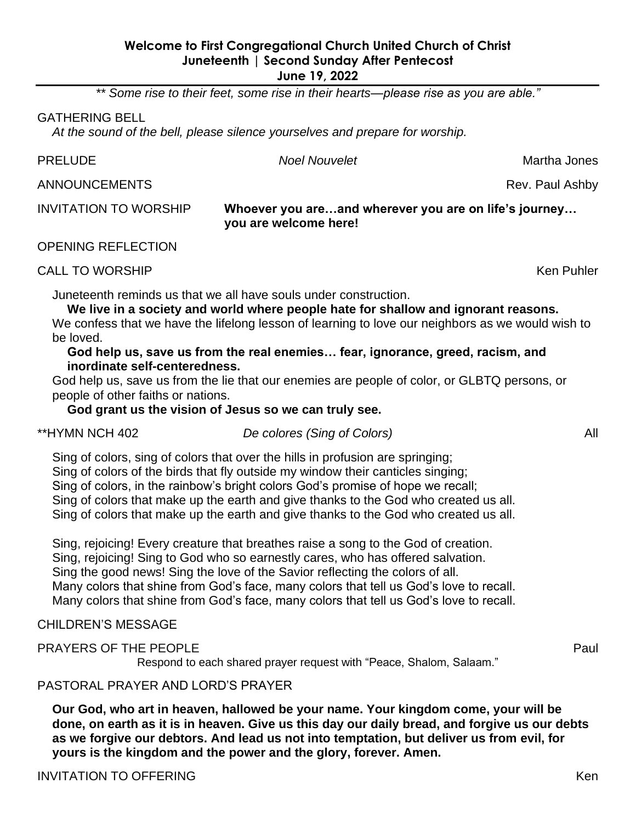### **Welcome to First Congregational Church United Church of Christ Juneteenth | Second Sunday After Pentecost June 19, 2022**

*\*\* Some rise to their feet, some rise in their hearts—please rise as you are able."*

#### GATHERING BELL

*At the sound of the bell, please silence yourselves and prepare for worship.*

| <b>PRELUDE</b>               | <b>Noel Nouvelet</b>                                                           | Martha Jones    |
|------------------------------|--------------------------------------------------------------------------------|-----------------|
| <b>ANNOUNCEMENTS</b>         |                                                                                | Rev. Paul Ashby |
| <b>INVITATION TO WORSHIP</b> | Whoever you areand wherever you are on life's journey<br>you are welcome here! |                 |
|                              |                                                                                |                 |

OPENING REFLECTION

CALL TO WORSHIP **Ken** Puhler Ken Puhler Ken Puhler Ken Puhler

Juneteenth reminds us that we all have souls under construction.

#### **We live in a society and world where people hate for shallow and ignorant reasons.**

We confess that we have the lifelong lesson of learning to love our neighbors as we would wish to be loved.

### **God help us, save us from the real enemies… fear, ignorance, greed, racism, and inordinate self-centeredness.**

God help us, save us from the lie that our enemies are people of color, or GLBTQ persons, or people of other faiths or nations.

# **God grant us the vision of Jesus so we can truly see.**

\*\*HYMN NCH 402 *De colores (Sing of Colors)* All

Sing of colors, sing of colors that over the hills in profusion are springing; Sing of colors of the birds that fly outside my window their canticles singing; Sing of colors, in the rainbow's bright colors God's promise of hope we recall; Sing of colors that make up the earth and give thanks to the God who created us all. Sing of colors that make up the earth and give thanks to the God who created us all.

Sing, rejoicing! Every creature that breathes raise a song to the God of creation. Sing, rejoicing! Sing to God who so earnestly cares, who has offered salvation. Sing the good news! Sing the love of the Savior reflecting the colors of all. Many colors that shine from God's face, many colors that tell us God's love to recall. Many colors that shine from God's face, many colors that tell us God's love to recall.

# CHILDREN'S MESSAGE

PRAYERS OF THE PEOPLE **Paul Section 1999** PRAYERS OF THE PEOPLE

Respond to each shared prayer request with "Peace, Shalom, Salaam."

# PASTORAL PRAYER AND LORD'S PRAYER

**Our God, who art in heaven, hallowed be your name. Your kingdom come, your will be done, on earth as it is in heaven. Give us this day our daily bread, and forgive us our debts as we forgive our debtors. And lead us not into temptation, but deliver us from evil, for yours is the kingdom and the power and the glory, forever. Amen.**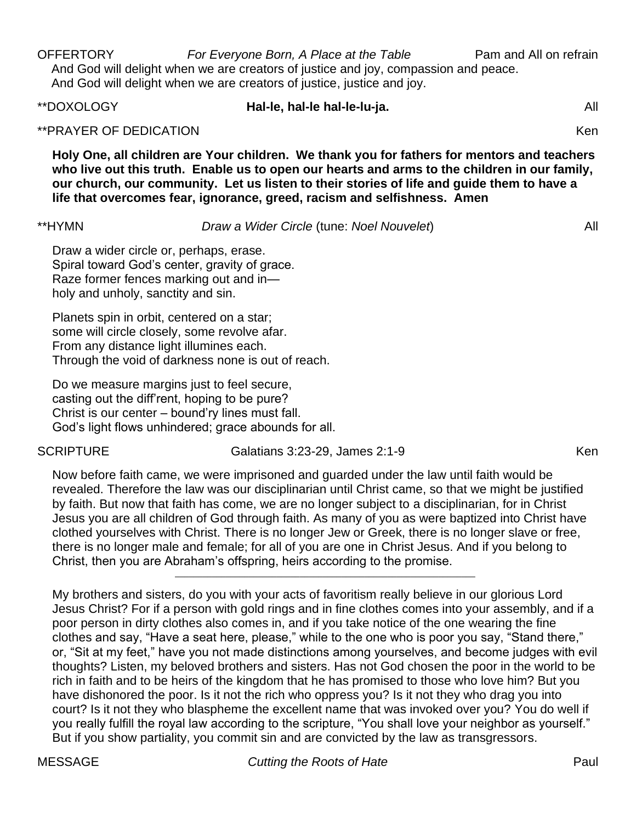| <b>OFFERTORY</b> | For Everyone Born, A Place at the Table                                             | Pam and All on refrain |
|------------------|-------------------------------------------------------------------------------------|------------------------|
|                  | And God will delight when we are creators of justice and joy, compassion and peace. |                        |
|                  | And God will delight when we are creators of justice, justice and joy.              |                        |

| <i><b>**DOXOLOGY</b></i> | Hal-le, hal-le hal-le-lu-ja. |  |
|--------------------------|------------------------------|--|
|--------------------------|------------------------------|--|

#### \*\*PRAYER OF DEDICATION AND A SERVICE OF A SERVICE OF A SERVICE OF A SERVICE OF A SERVICE OF A SERVICE OF A SERVICE OF A SERVICE OF A SERVICE OF A SERVICE OF A SERVICE OF A SERVICE OF A SERVICE OF A SERVICE OF A SERVICE OF

**Holy One, all children are Your children. We thank you for fathers for mentors and teachers who live out this truth. Enable us to open our hearts and arms to the children in our family, our church, our community. Let us listen to their stories of life and guide them to have a life that overcomes fear, ignorance, greed, racism and selfishness. Amen**

\*\*HYMN *Draw a Wider Circle* (tune: *Noel Nouvelet*) All

Draw a wider circle or, perhaps, erase. Spiral toward God's center, gravity of grace. Raze former fences marking out and in holy and unholy, sanctity and sin.

Planets spin in orbit, centered on a star; some will circle closely, some revolve afar. From any distance light illumines each. Through the void of darkness none is out of reach.

Do we measure margins just to feel secure, casting out the diff'rent, hoping to be pure? Christ is our center – bound'ry lines must fall. God's light flows unhindered; grace abounds for all.

SCRIPTURE Galatians 3:23-29, James 2:1-9

Now before faith came, we were imprisoned and guarded under the law until faith would be revealed. Therefore the law was our disciplinarian until Christ came, so that we might be justified by faith. But now that faith has come, we are no longer subject to a disciplinarian, for in Christ Jesus you are all children of God through faith. As many of you as were baptized into Christ have clothed yourselves with Christ. There is no longer Jew or Greek, there is no longer slave or free, there is no longer male and female; for all of you are one in Christ Jesus. And if you belong to Christ, then you are Abraham's offspring, heirs according to the promise.

 $\_$  , and the set of the set of the set of the set of the set of the set of the set of the set of the set of the set of the set of the set of the set of the set of the set of the set of the set of the set of the set of th

My brothers and sisters, do you with your acts of favoritism really believe in our glorious Lord Jesus Christ? For if a person with gold rings and in fine clothes comes into your assembly, and if a poor person in dirty clothes also comes in, and if you take notice of the one wearing the fine clothes and say, "Have a seat here, please," while to the one who is poor you say, "Stand there," or, "Sit at my feet," have you not made distinctions among yourselves, and become judges with evil thoughts? Listen, my beloved brothers and sisters. Has not God chosen the poor in the world to be rich in faith and to be heirs of the kingdom that he has promised to those who love him? But you have dishonored the poor. Is it not the rich who oppress you? Is it not they who drag you into court? Is it not they who blaspheme the excellent name that was invoked over you? You do well if you really fulfill the royal law according to the scripture, "You shall love your neighbor as yourself." But if you show partiality, you commit sin and are convicted by the law as transgressors.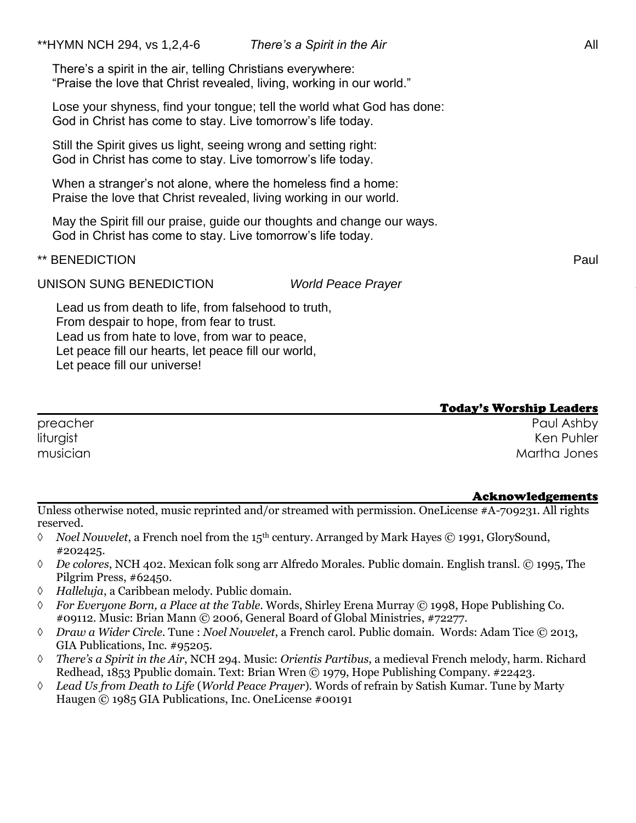There's a spirit in the air, telling Christians everywhere: "Praise the love that Christ revealed, living, working in our world."

Lose your shyness, find your tongue; tell the world what God has done: God in Christ has come to stay. Live tomorrow's life today.

Still the Spirit gives us light, seeing wrong and setting right: God in Christ has come to stay. Live tomorrow's life today.

When a stranger's not alone, where the homeless find a home: Praise the love that Christ revealed, living working in our world.

May the Spirit fill our praise, guide our thoughts and change our ways. God in Christ has come to stay. Live tomorrow's life today.

\*\* BENEDICTION Paul

UNISON SUNG BENEDICTION *World Peace Prayer* 

Lead us from death to life, from falsehood to truth, From despair to hope, from fear to trust. Lead us from hate to love, from war to peace, Let peace fill our hearts, let peace fill our world, Let peace fill our universe!

|           | Today's worship readers |
|-----------|-------------------------|
| preacher  | Paul Ashby              |
| liturgist | Ken Puhler              |
| musician  | Martha Jones            |

#### Acknowledgements

Today's Worship Leaders

Unless otherwise noted, music reprinted and/or streamed with permission. OneLicense #A-709231. All rights reserved.

- *Noel Nouvelet*, a French noel from the 15th century. Arranged by Mark Hayes © 1991, GlorySound, #202425.
- *De colores*, NCH 402. Mexican folk song arr Alfredo Morales. Public domain. English transl. © 1995, The Pilgrim Press, #62450.
- *Halleluja*, a Caribbean melody. Public domain.
- *For Everyone Born, a Place at the Table*. Words, Shirley Erena Murray © 1998, Hope Publishing Co. #09112. Music: Brian Mann © 2006, General Board of Global Ministries, #72277.
- *Draw a Wider Circle*. Tune : *Noel Nouvelet*, a French carol. Public domain. Words: Adam Tice © 2013, GIA Publications, Inc. #95205.
- *There's a Spirit in the Air*, NCH 294. Music: *Orientis Partibus*, a medieval French melody, harm. Richard Redhead, 1853 Ppublic domain. Text: Brian Wren © 1979, Hope Publishing Company. #22423.
- *Lead Us from Death to Life* (*World Peace Prayer*). Words of refrain by Satish Kumar. Tune by Marty Haugen © 1985 GIA Publications, Inc. OneLicense #00191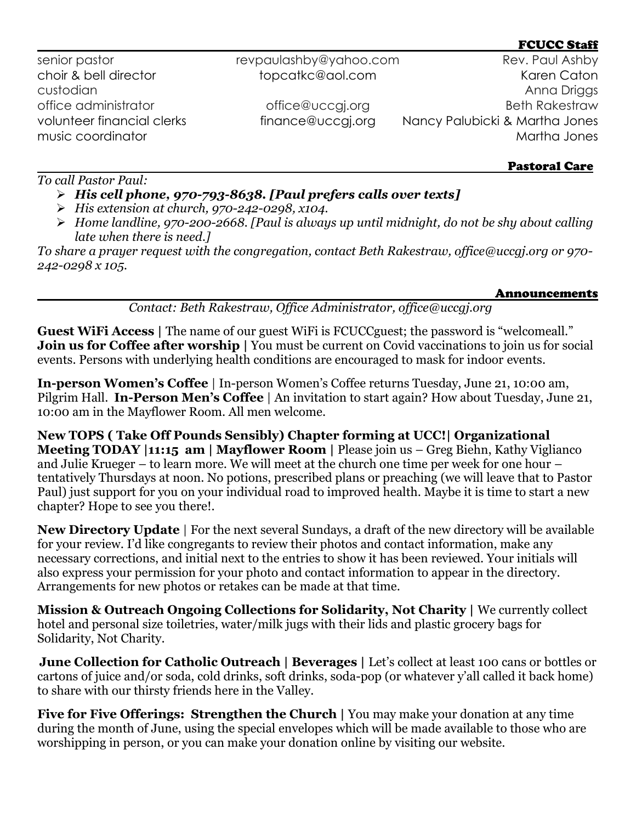| <b>FCUCC Staff</b> |   |  |
|--------------------|---|--|
|                    | . |  |

senior pastor revpaulashby@yahoo.com Rev. Paul Ashby

# *To call Pastor Paul:*

- ➢ *His cell phone, 970-793-8638. [Paul prefers calls over texts]*
- ➢ *His extension at church, 970-242-0298, x104.*
- ➢ *Home landline, 970-200-2668. [Paul is always up until midnight, do not be shy about calling late when there is need.]*

*To share a prayer request with the congregation, contact Beth Rakestraw, office@uccgj.org or 970- 242-0298 x 105.*

# Announcements

*Contact: Beth Rakestraw, Office Administrator, office@uccgj.org*

**Guest WiFi Access** | The name of our guest WiFi is FCUCC guest; the password is "welcomeall." **Join us for Coffee after worship** | You must be current on Covid vaccinations to join us for social events. Persons with underlying health conditions are encouraged to mask for indoor events.

**In-person Women's Coffee** | In-person Women's Coffee returns Tuesday, June 21, 10:00 am, Pilgrim Hall. **In-Person Men's Coffee** | An invitation to start again? How about Tuesday, June 21, 10:00 am in the Mayflower Room. All men welcome.

**New TOPS ( Take Off Pounds Sensibly) Chapter forming at UCC!| Organizational Meeting TODAY |11:15 am | Mayflower Room |** Please join us – Greg Biehn, Kathy Viglianco and Julie Krueger – to learn more. We will meet at the church one time per week for one hour – tentatively Thursdays at noon. No potions, prescribed plans or preaching (we will leave that to Pastor Paul) just support for you on your individual road to improved health. Maybe it is time to start a new chapter? Hope to see you there!.

**New Directory Update** | For the next several Sundays, a draft of the new directory will be available for your review. I'd like congregants to review their photos and contact information, make any necessary corrections, and initial next to the entries to show it has been reviewed. Your initials will also express your permission for your photo and contact information to appear in the directory. Arrangements for new photos or retakes can be made at that time.

**Mission & Outreach Ongoing Collections for Solidarity, Not Charity | We currently collect** hotel and personal size toiletries, water/milk jugs with their lids and plastic grocery bags for Solidarity, Not Charity.

**June Collection for Catholic Outreach | Beverages | Let's collect at least 100 cans or bottles or** cartons of juice and/or soda, cold drinks, soft drinks, soda-pop (or whatever y'all called it back home) to share with our thirsty friends here in the Valley.

**Five for Five Offerings: Strengthen the Church |** You may make your donation at any time during the month of June, using the special envelopes which will be made available to those who are worshipping in person, or you can make your donation online by visiting our website.

choir & bell director topcatkc@aol.com button which we karen Caton custodian Anna Driggs office administrator and the office@uccgi.org beth Rakestraw volunteer financial clerks finance@uccgj.org Nancy Palubicki & Martha Jones music coordinator and the matrix of the matrix of the music coordinator  $M$  . Martha Jones

# Pastoral Care